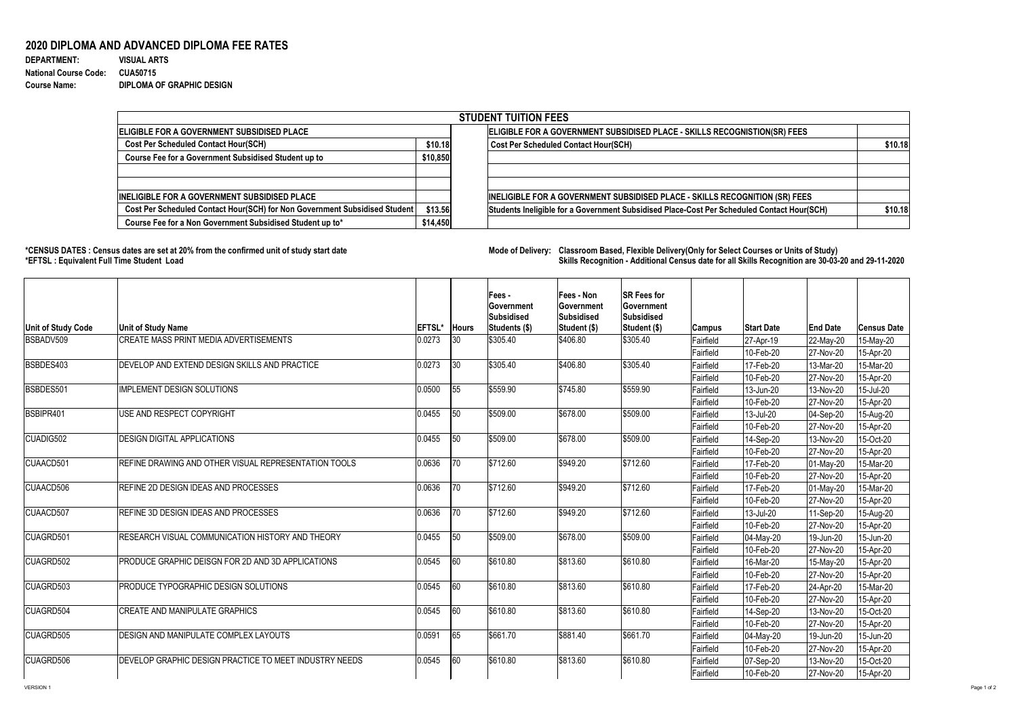**DEPARTMENT: VISUAL ARTS** 1100 1 0.000909091 **Course Name: DIPLOMA OF GRAPHIC DESIGN**

## **2020 DIPLOMA AND ADVANCED DIPLOMA FEE RATES**

**National Course Code: CUA50715**

**\*CENSUS DATES : Census dates are set at 20% from the confirmed unit of study start date Mode of Delivery: Classroom Based, Flexible Delivery(Only for Select Courses or Units of Study) \*EFTSL : Equivalent Full Time Student Load Skills Recognition - Additional Census date for all Skills Recognition are 30-03-20 and 29-11-2020** 

|                                                                            |          |  | <b>STUDENT TUITION FEES</b>                                                                |         |  |  |  |  |
|----------------------------------------------------------------------------|----------|--|--------------------------------------------------------------------------------------------|---------|--|--|--|--|
| ELIGIBLE FOR A GOVERNMENT SUBSIDISED PLACE                                 |          |  | ELIGIBLE FOR A GOVERNMENT SUBSIDISED PLACE - SKILLS RECOGNISTION(SR) FEES                  |         |  |  |  |  |
| <b>Cost Per Scheduled Contact Hour(SCH)</b>                                | \$10.18  |  | <b>Cost Per Scheduled Contact Hour(SCH)</b>                                                | \$10.18 |  |  |  |  |
| <b>Course Fee for a Government Subsidised Student up to</b>                | \$10,850 |  |                                                                                            |         |  |  |  |  |
|                                                                            |          |  |                                                                                            |         |  |  |  |  |
| <b>INELIGIBLE FOR A GOVERNMENT SUBSIDISED PLACE</b>                        |          |  | <b>INELIGIBLE FOR A GOVERNMENT SUBSIDISED PLACE - SKILLS RECOGNITION (SR) FEES</b>         |         |  |  |  |  |
| Cost Per Scheduled Contact Hour(SCH) for Non Government Subsidised Student | \$13.56  |  | Students Ineligible for a Government Subsidised Place-Cost Per Scheduled Contact Hour(SCH) | \$10.18 |  |  |  |  |
| Course Fee for a Non Government Subsidised Student up to*                  | \$14,450 |  |                                                                                            |         |  |  |  |  |

| <b>Unit of Study Code</b> | <b>Unit of Study Name</b>                              | EFTSL* | <b>Hours</b> | Fees -<br><b>Government</b><br><b>Subsidised</b><br><b>Students (\$)</b> | <b>Fees - Non</b><br><b>Government</b><br>Subsidised<br>Student (\$) | <b>SR Fees for</b><br><b>Government</b><br><b>Subsidised</b><br><b>Student (\$)</b> | <b>Campus</b>    | <b>Start Date</b>      | <b>End Date</b> | <b>Census Date</b> |
|---------------------------|--------------------------------------------------------|--------|--------------|--------------------------------------------------------------------------|----------------------------------------------------------------------|-------------------------------------------------------------------------------------|------------------|------------------------|-----------------|--------------------|
| BSBADV509                 | <b>CREATE MASS PRINT MEDIA ADVERTISEMENTS</b>          | 0.0273 | 30           | \$305.40                                                                 | \$406.80                                                             | \$305.40                                                                            | Fairfield        | 27-Apr-19              | 22-May-20       | 15-May-20          |
|                           |                                                        |        |              |                                                                          |                                                                      |                                                                                     | Fairfield        | 10-Feb-20              | 27-Nov-20       | 15-Apr-20          |
| BSBDES403                 | DEVELOP AND EXTEND DESIGN SKILLS AND PRACTICE          | 0.0273 | 30           | \$305.40                                                                 | \$406.80                                                             | \$305.40                                                                            | Fairfield        | 17-Feb-20              | 13-Mar-20       | 15-Mar-20          |
|                           |                                                        |        |              |                                                                          |                                                                      |                                                                                     | Fairfield        | 10-Feb-20              | 27-Nov-20       | 15-Apr-20          |
| BSBDES501                 | <b>IMPLEMENT DESIGN SOLUTIONS</b>                      | 0.0500 | 55           | \$559.90                                                                 | \$745.80                                                             | \$559.90                                                                            | Fairfield        | 13-Jun-20              | 13-Nov-20       | 15-Jul-20          |
|                           |                                                        |        |              |                                                                          |                                                                      |                                                                                     | Fairfield        | 10-Feb-20              | 27-Nov-20       | 15-Apr-20          |
| BSBIPR401                 | USE AND RESPECT COPYRIGHT                              | 0.0455 | 150          | \$509.00                                                                 | \$678.00                                                             | \$509.00                                                                            | Fairfield        | 13-Jul-20              | 04-Sep-20       | 15-Aug-20          |
|                           |                                                        |        |              |                                                                          |                                                                      |                                                                                     | Fairfield        | 10-Feb-20              | 27-Nov-20       | 15-Apr-20          |
| CUADIG502                 | <b>DESIGN DIGITAL APPLICATIONS</b>                     | 0.0455 | 150          | \$509.00                                                                 | \$678.00                                                             | \$509.00                                                                            | Fairfield        | $ 14 - \text{Sep-}20 $ | 13-Nov-20       | 15-Oct-20          |
|                           |                                                        |        |              |                                                                          |                                                                      |                                                                                     | Fairfield        | 10-Feb-20              | 27-Nov-20       | 15-Apr-20          |
| CUAACD501                 | REFINE DRAWING AND OTHER VISUAL REPRESENTATION TOOLS   | 0.0636 | $ 70\rangle$ | \$712.60                                                                 | \$949.20                                                             | \$712.60                                                                            | Fairfield        | 17-Feb-20              | 01-May-20       | 15-Mar-20          |
|                           |                                                        |        |              |                                                                          |                                                                      |                                                                                     | Fairfield        | 10-Feb-20              | 27-Nov-20       | 15-Apr-20          |
| CUAACD506                 | <b>REFINE 2D DESIGN IDEAS AND PROCESSES</b>            | 0.0636 | 70           | \$712.60                                                                 | \$949.20                                                             | \$712.60                                                                            | Fairfield        | 17-Feb-20              | 01-May-20       | 15-Mar-20          |
|                           |                                                        |        |              |                                                                          |                                                                      |                                                                                     | Fairfield        | 10-Feb-20              | 27-Nov-20       | 15-Apr-20          |
| <b>CUAACD507</b>          | REFINE 3D DESIGN IDEAS AND PROCESSES                   | 0.0636 | 70           | \$712.60                                                                 | \$949.20                                                             | \$712.60                                                                            | Fairfield        | 13-Jul-20              | 11-Sep-20       | 15-Aug-20          |
|                           |                                                        |        |              |                                                                          |                                                                      |                                                                                     | Fairfield        | 10-Feb-20              | 27-Nov-20       | 15-Apr-20          |
| <b>CUAGRD501</b>          | RESEARCH VISUAL COMMUNICATION HISTORY AND THEORY       | 0.0455 | 50           | \$509.00                                                                 | \$678.00                                                             | \$509.00                                                                            | Fairfield        | 04-May-20              | 19-Jun-20       | 15-Jun-20          |
|                           |                                                        |        |              |                                                                          |                                                                      |                                                                                     | Fairfield        | 10-Feb-20              | 27-Nov-20       | 15-Apr-20          |
| CUAGRD502                 | PRODUCE GRAPHIC DEISGN FOR 2D AND 3D APPLICATIONS      | 0.0545 | 60           | \$610.80                                                                 | \$813.60                                                             | \$610.80                                                                            | Fairfield        | 16-Mar-20              | 15-May-20       | 15-Apr-20          |
|                           |                                                        |        |              |                                                                          |                                                                      |                                                                                     | <b>Fairfield</b> | 10-Feb-20              | 27-Nov-20       | 15-Apr-20          |
| CUAGRD503                 | PRODUCE TYPOGRAPHIC DESIGN SOLUTIONS                   | 0.0545 | 60           | \$610.80                                                                 | \$813.60                                                             | \$610.80                                                                            | Fairfield        | 17-Feb-20              | 24-Apr-20       | 15-Mar-20          |
|                           |                                                        |        |              |                                                                          |                                                                      |                                                                                     | <b>Fairfield</b> | 10-Feb-20              | 27-Nov-20       | 15-Apr-20          |
| <b>CUAGRD504</b>          | <b>CREATE AND MANIPULATE GRAPHICS</b>                  | 0.0545 | 60           | \$610.80                                                                 | \$813.60                                                             | \$610.80                                                                            | Fairfield        | 14-Sep-20              | 13-Nov-20       | 15-Oct-20          |
|                           |                                                        |        |              |                                                                          |                                                                      |                                                                                     | <b>Fairfield</b> | 10-Feb-20              | 27-Nov-20       | 15-Apr-20          |
| CUAGRD505                 | DESIGN AND MANIPULATE COMPLEX LAYOUTS                  | 0.0591 | 165          | \$661.70                                                                 | \$881.40                                                             | \$661.70                                                                            | Fairfield        | 04-May-20              | 19-Jun-20       | 15-Jun-20          |
|                           |                                                        |        |              |                                                                          |                                                                      |                                                                                     | Fairfield        | 10-Feb-20              | 27-Nov-20       | 15-Apr-20          |
| CUAGRD506                 | DEVELOP GRAPHIC DESIGN PRACTICE TO MEET INDUSTRY NEEDS | 0.0545 | 60           | \$610.80                                                                 | \$813.60                                                             | \$610.80                                                                            | Fairfield        | $07-Sep-20$            | 13-Nov-20       | 15-Oct-20          |
|                           |                                                        |        |              |                                                                          |                                                                      |                                                                                     | Fairfield        | $10$ -Feb-20           | 27-Nov-20       | 15-Apr-20          |